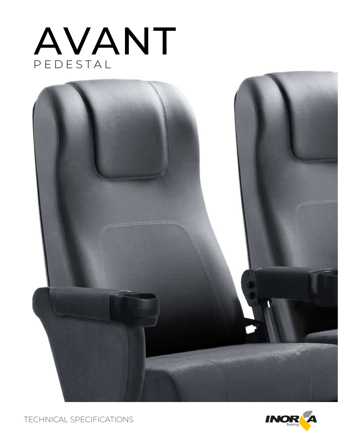# PEDESTAL AVANT



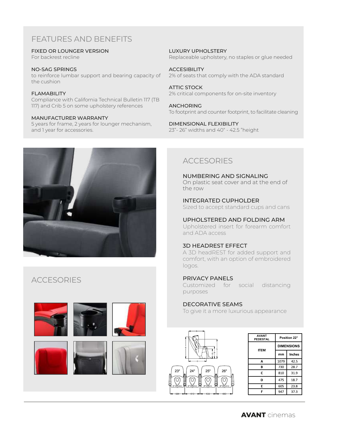# FEATURES AND BENEFITS

FIXED OR LOUNGER VERSION

For backrest recline

NO-SAG SPRINGS to reinforce lumbar support and bearing capacity of the cushion

**FI AMABILITY** Compliance with California Technical Bulletin 117 (TB 117) and Crib 5 on some upholstery references

#### MANUFACTURER WARRANTY

5 years for frame, 2 years for lounger mechanism, and 1 year for accessories.



**ACCESORIES** 



LUXURY UPHOLSTERY Replaceable upholstery, no staples or glue needed

**ACCESIBILITY** 2% of seats that comply with the ADA standard

ATTIC STOCK 2% critical components for on-site inventory

ANCHORING To footprint and counter footprint, to facilitate cleaning

DIMENSIONAL FLEXIBILITY 23"- 26" widths and 40" - 42.5 "height

## ACCESORIES

NUMBERING AND SIGNALING On plastic seat cover and at the end of the row

INTEGRATED CUPHOLDER Sized to accept standard cups and cans

UPHOLSTERED AND FOLDING ARM Upholstered insert for forearm comfort

and ADA access

#### 3D HEADREST EFFECT

A 3D headREST for added support and comfort, with an option of embroidered logos.

#### PRIVACY PANELS

Customized for social distancing purposes

#### DECORATIVE SEAMS

To give it a more luxurious appearance



| <b>AVANT</b><br><b>PEDESTAL</b> | Position 22°      |               |
|---------------------------------|-------------------|---------------|
| <b>ITEM</b>                     | <b>DIMENSIONS</b> |               |
|                                 | mm                | <b>Inches</b> |
| А                               | 1079              | 42.5          |
| в                               | 730               | 28.7          |
| C                               | 810               | 31.9          |
| D                               | 475               | 18.7          |
| E                               | 605               | 23.8          |
| F                               | 947               | 37.3          |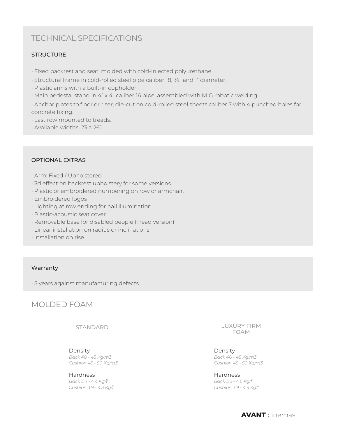## TECHNICAL SPECIFICATIONS

#### **STRUCTURE**

- Fixed backrest and seat, molded with cold-injected polyurethane.
- Structural frame in cold-rolled steel pipe caliber 18, ¾" and 1" diameter.
- Plastic arms with a built-in cupholder.
- Main pedestal stand in 4" x 4" caliber 16 pipe, assembled with MIG robotic welding.

• Anchor plates to floor or riser, die-cut on cold-rolled steel sheets caliber 7 with 4 punched holes for concrete fixing.

- Last row mounted to treads.
- Available widths: 23 a 26"

#### OPTIONAL EXTRAS

- Arm: Fixed / Upholstered
- 3d effect on backrest upholstery for some versions.
- Plastic or embroidered numbering on row or armchair.
- Embroidered logos
- Lighting at row ending for hall illumination
- Plastic-acoustic seat cover.
- Removable base for disabled people (Tread version)
- Linear installation on radius or inclinations
- Installation on rise

#### Warranty

• 5 years against manufacturing defects.

## MOLDED FOAM

STANDARD

Density *Back 40 - 45 Kg/m3 Cushion 45 - 50 Kg/m3*

Hardness *Back 3.4 - 4.4 Kg/f Cushion 3.9 - 4.3 Kg/f* LUXURY FIRM FOAM

Density *Back 40 - 45 Kg/m3 Cushion 45 - 50 Kg/m3*

Hardness *Back 3.6 - 4.6 Kg/f Cushion 3.9 - 4.9 Kg/f*